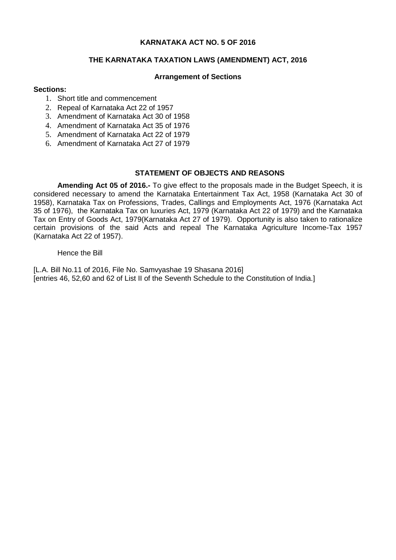# **KARNATAKA ACT NO. 5 OF 2016**

# **THE KARNATAKA TAXATION LAWS (AMENDMENT) ACT, 2016**

### **Arrangement of Sections**

### **Sections:**

- 1. Short title and commencement
- 2. Repeal of Karnataka Act 22 of 1957
- 3. Amendment of Karnataka Act 30 of 1958
- 4. Amendment of Karnataka Act 35 of 1976
- 5. Amendment of Karnataka Act 22 of 1979
- 6. Amendment of Karnataka Act 27 of 1979

# **STATEMENT OF OBJECTS AND REASONS**

**Amending Act 05 of 2016.-** To give effect to the proposals made in the Budget Speech, it is considered necessary to amend the Karnataka Entertainment Tax Act, 1958 (Karnataka Act 30 of 1958), Karnataka Tax on Professions, Trades, Callings and Employments Act, 1976 (Karnataka Act 35 of 1976), the Karnataka Tax on luxuries Act, 1979 (Karnataka Act 22 of 1979) and the Karnataka Tax on Entry of Goods Act, 1979(Karnataka Act 27 of 1979). Opportunity is also taken to rationalize certain provisions of the said Acts and repeal The Karnataka Agriculture Income-Tax 1957 (Karnataka Act 22 of 1957).

### Hence the Bill

[L.A. Bill No.11 of 2016, File No. Samvyashae 19 Shasana 2016] [entries 46, 52,60 and 62 of List II of the Seventh Schedule to the Constitution of India.]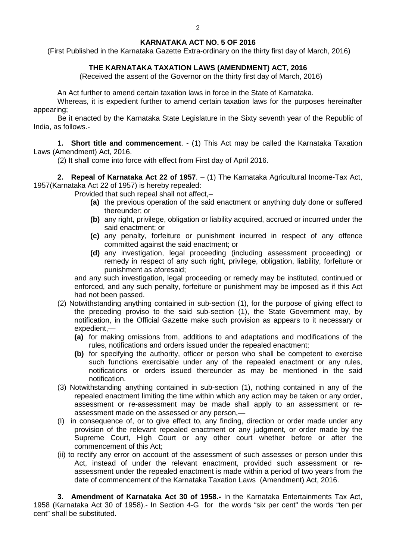### **KARNATAKA ACT NO. 5 OF 2016**

(First Published in the Karnataka Gazette Extra-ordinary on the thirty first day of March, 2016)

# **THE KARNATAKA TAXATION LAWS (AMENDMENT) ACT, 2016**

(Received the assent of the Governor on the thirty first day of March, 2016)

An Act further to amend certain taxation laws in force in the State of Karnataka.

Whereas, it is expedient further to amend certain taxation laws for the purposes hereinafter appearing;

Be it enacted by the Karnataka State Legislature in the Sixty seventh year of the Republic of India, as follows.-

**1. Short title and commencement**. - (1) This Act may be called the Karnataka Taxation Laws (Amendment) Act, 2016.

(2) It shall come into force with effect from First day of April 2016.

**2. Repeal of Karnataka Act 22 of 1957**. – (1) The Karnataka Agricultural Income-Tax Act, 1957(Karnataka Act 22 of 1957) is hereby repealed:

Provided that such repeal shall not affect,–

- **(a)** the previous operation of the said enactment or anything duly done or suffered thereunder; or
- **(b)** any right, privilege, obligation or liability acquired, accrued or incurred under the said enactment; or
- **(c)** any penalty, forfeiture or punishment incurred in respect of any offence committed against the said enactment; or
- **(d)** any investigation, legal proceeding (including assessment proceeding) or remedy in respect of any such right, privilege, obligation, liability, forfeiture or punishment as aforesaid;

and any such investigation, legal proceeding or remedy may be instituted, continued or enforced, and any such penalty, forfeiture or punishment may be imposed as if this Act had not been passed.

- (2) Notwithstanding anything contained in sub-section (1), for the purpose of giving effect to the preceding proviso to the said sub-section (1), the State Government may, by notification, in the Official Gazette make such provision as appears to it necessary or expedient,—
	- **(a)** for making omissions from, additions to and adaptations and modifications of the rules, notifications and orders issued under the repealed enactment;
	- **(b)** for specifying the authority, officer or person who shall be competent to exercise such functions exercisable under any of the repealed enactment or any rules, notifications or orders issued thereunder as may be mentioned in the said notification.
- (3) Notwithstanding anything contained in sub-section (1), nothing contained in any of the repealed enactment limiting the time within which any action may be taken or any order, assessment or re-assessment may be made shall apply to an assessment or reassessment made on the assessed or any person,—
- (I) in consequence of, or to give effect to, any finding, direction or order made under any provision of the relevant repealed enactment or any judgment, or order made by the Supreme Court, High Court or any other court whether before or after the commencement of this Act;
- (ii) to rectify any error on account of the assessment of such assesses or person under this Act, instead of under the relevant enactment, provided such assessment or reassessment under the repealed enactment is made within a period of two years from the date of commencement of the Karnataka Taxation Laws (Amendment) Act, 2016.

**3. Amendment of Karnataka Act 30 of 1958.-** In the Karnataka Entertainments Tax Act, 1958 (Karnataka Act 30 of 1958).- In Section 4-G for the words "six per cent" the words "ten per cent" shall be substituted.